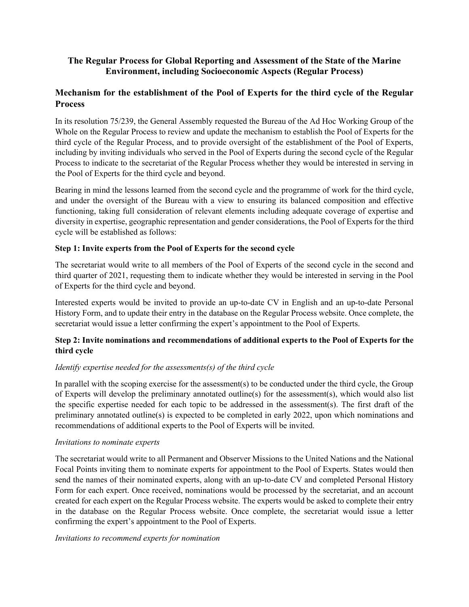# **The Regular Process for Global Reporting and Assessment of the State of the Marine Environment, including Socioeconomic Aspects (Regular Process)**

# **Mechanism for the establishment of the Pool of Experts for the third cycle of the Regular Process**

In its resolution 75/239, the General Assembly requested the Bureau of the Ad Hoc Working Group of the Whole on the Regular Process to review and update the mechanism to establish the Pool of Experts for the third cycle of the Regular Process, and to provide oversight of the establishment of the Pool of Experts, including by inviting individuals who served in the Pool of Experts during the second cycle of the Regular Process to indicate to the secretariat of the Regular Process whether they would be interested in serving in the Pool of Experts for the third cycle and beyond.

Bearing in mind the lessons learned from the second cycle and the programme of work for the third cycle, and under the oversight of the Bureau with a view to ensuring its balanced composition and effective functioning, taking full consideration of relevant elements including adequate coverage of expertise and diversity in expertise, geographic representation and gender considerations, the Pool of Experts for the third cycle will be established as follows:

# **Step 1: Invite experts from the Pool of Experts for the second cycle**

The secretariat would write to all members of the Pool of Experts of the second cycle in the second and third quarter of 2021, requesting them to indicate whether they would be interested in serving in the Pool of Experts for the third cycle and beyond.

Interested experts would be invited to provide an up-to-date CV in English and an up-to-date Personal History Form, and to update their entry in the database on the Regular Process website. Once complete, the secretariat would issue a letter confirming the expert's appointment to the Pool of Experts.

# **Step 2: Invite nominations and recommendations of additional experts to the Pool of Experts for the third cycle**

## *Identify expertise needed for the assessments(s) of the third cycle*

In parallel with the scoping exercise for the assessment(s) to be conducted under the third cycle, the Group of Experts will develop the preliminary annotated outline(s) for the assessment(s), which would also list the specific expertise needed for each topic to be addressed in the assessment(s). The first draft of the preliminary annotated outline(s) is expected to be completed in early 2022, upon which nominations and recommendations of additional experts to the Pool of Experts will be invited.

## *Invitations to nominate experts*

The secretariat would write to all Permanent and Observer Missions to the United Nations and the National Focal Points inviting them to nominate experts for appointment to the Pool of Experts. States would then send the names of their nominated experts, along with an up-to-date CV and completed Personal History Form for each expert. Once received, nominations would be processed by the secretariat, and an account created for each expert on the Regular Process website. The experts would be asked to complete their entry in the database on the Regular Process website. Once complete, the secretariat would issue a letter confirming the expert's appointment to the Pool of Experts.

## *Invitations to recommend experts for nomination*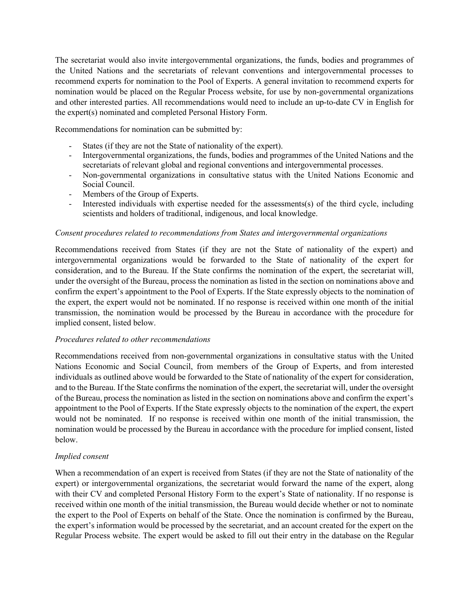The secretariat would also invite intergovernmental organizations, the funds, bodies and programmes of the United Nations and the secretariats of relevant conventions and intergovernmental processes to recommend experts for nomination to the Pool of Experts. A general invitation to recommend experts for nomination would be placed on the Regular Process website, for use by non-governmental organizations and other interested parties. All recommendations would need to include an up-to-date CV in English for the expert(s) nominated and completed Personal History Form.

Recommendations for nomination can be submitted by:

- States (if they are not the State of nationality of the expert).
- Intergovernmental organizations, the funds, bodies and programmes of the United Nations and the secretariats of relevant global and regional conventions and intergovernmental processes.
- Non-governmental organizations in consultative status with the United Nations Economic and Social Council.
- Members of the Group of Experts.
- Interested individuals with expertise needed for the assessments(s) of the third cycle, including scientists and holders of traditional, indigenous, and local knowledge.

## *Consent procedures related to recommendations from States and intergovernmental organizations*

Recommendations received from States (if they are not the State of nationality of the expert) and intergovernmental organizations would be forwarded to the State of nationality of the expert for consideration, and to the Bureau. If the State confirms the nomination of the expert, the secretariat will, under the oversight of the Bureau, process the nomination as listed in the section on nominations above and confirm the expert's appointment to the Pool of Experts. If the State expressly objects to the nomination of the expert, the expert would not be nominated. If no response is received within one month of the initial transmission, the nomination would be processed by the Bureau in accordance with the procedure for implied consent, listed below.

## *Procedures related to other recommendations*

Recommendations received from non-governmental organizations in consultative status with the United Nations Economic and Social Council, from members of the Group of Experts, and from interested individuals as outlined above would be forwarded to the State of nationality of the expert for consideration, and to the Bureau. If the State confirms the nomination of the expert, the secretariat will, under the oversight of the Bureau, process the nomination as listed in the section on nominations above and confirm the expert's appointment to the Pool of Experts. If the State expressly objects to the nomination of the expert, the expert would not be nominated. If no response is received within one month of the initial transmission, the nomination would be processed by the Bureau in accordance with the procedure for implied consent, listed below.

## *Implied consent*

When a recommendation of an expert is received from States (if they are not the State of nationality of the expert) or intergovernmental organizations, the secretariat would forward the name of the expert, along with their CV and completed Personal History Form to the expert's State of nationality. If no response is received within one month of the initial transmission, the Bureau would decide whether or not to nominate the expert to the Pool of Experts on behalf of the State. Once the nomination is confirmed by the Bureau, the expert's information would be processed by the secretariat, and an account created for the expert on the Regular Process website. The expert would be asked to fill out their entry in the database on the Regular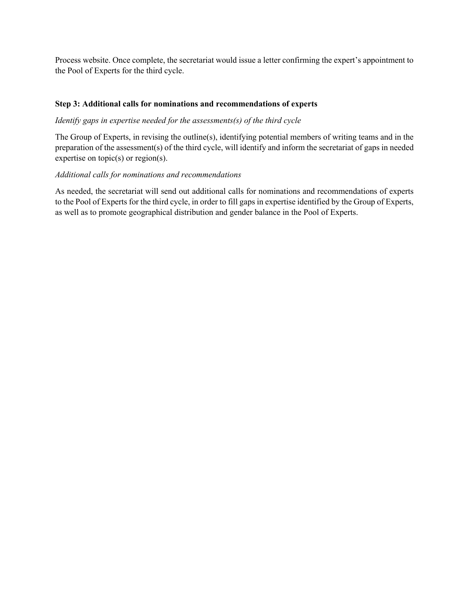Process website. Once complete, the secretariat would issue a letter confirming the expert's appointment to the Pool of Experts for the third cycle.

## **Step 3: Additional calls for nominations and recommendations of experts**

## *Identify gaps in expertise needed for the assessments(s) of the third cycle*

The Group of Experts, in revising the outline(s), identifying potential members of writing teams and in the preparation of the assessment(s) of the third cycle, will identify and inform the secretariat of gaps in needed expertise on topic(s) or region(s).

## *Additional calls for nominations and recommendations*

As needed, the secretariat will send out additional calls for nominations and recommendations of experts to the Pool of Experts for the third cycle, in order to fill gaps in expertise identified by the Group of Experts, as well as to promote geographical distribution and gender balance in the Pool of Experts.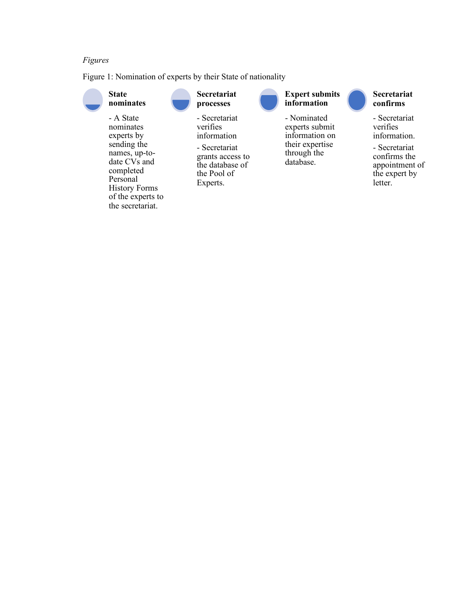## *Figures*

Figure 1: Nomination of experts by their State of nationality



# **Secretariat confirms**

- Secretariat verifies information.

- Secretariat confirms the appointment of the expert by letter.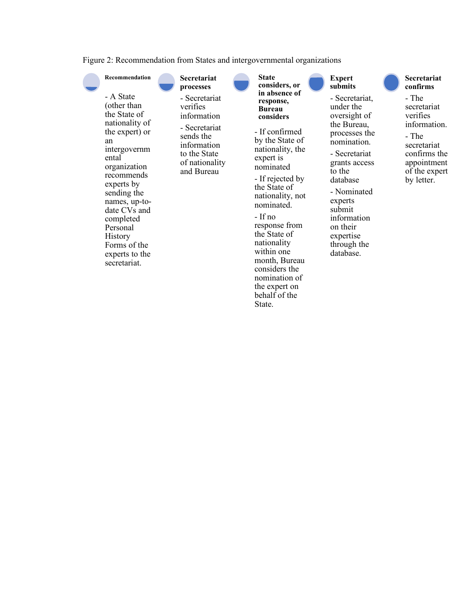Figure 2: Recommendation from States and intergovernmental organizations



behalf of the State.

#### **Secretariat confirms**

secretariat verifies information.

secretariat confirms the appointment of the expert by letter.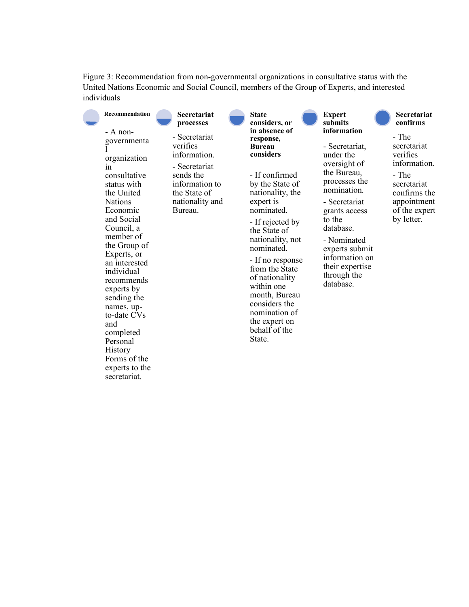Figure 3: Recommendation from non-governmental organizations in consultative status with the United Nations Economic and Social Council, members of the Group of Experts, and interested individuals

| Recommendation                                                                                                                                                                                                                                                                                                                                                                                                | <b>Secretariat</b><br>processes                                                                                                         | <b>State</b><br>considers, or                                                                                                                                                                                                                                                                                                                                                           | <b>Expert</b><br>submits                                                                                                                                                                                                                                             | Secretariat<br>confirms                                                                                                                |
|---------------------------------------------------------------------------------------------------------------------------------------------------------------------------------------------------------------------------------------------------------------------------------------------------------------------------------------------------------------------------------------------------------------|-----------------------------------------------------------------------------------------------------------------------------------------|-----------------------------------------------------------------------------------------------------------------------------------------------------------------------------------------------------------------------------------------------------------------------------------------------------------------------------------------------------------------------------------------|----------------------------------------------------------------------------------------------------------------------------------------------------------------------------------------------------------------------------------------------------------------------|----------------------------------------------------------------------------------------------------------------------------------------|
| $-$ A non-<br>governmenta<br>organization<br>1n<br>consultative<br>status with<br>the United<br><b>Nations</b><br>Economic<br>and Social<br>Council, a<br>member of<br>the Group of<br>Experts, or<br>an interested<br>individual<br>recommends<br>experts by<br>sending the<br>names, up-<br>to-date CVs<br>and<br>completed<br>Personal<br><b>History</b><br>Forms of the<br>experts to the<br>secretariat. | - Secretariat<br>verifies<br>information.<br>- Secretariat<br>sends the<br>information to<br>the State of<br>nationality and<br>Bureau. | in absence of<br>response,<br><b>Bureau</b><br>considers<br>- If confirmed<br>by the State of<br>nationality, the<br>expert is<br>nominated.<br>- If rejected by<br>the State of<br>nationality, not<br>nominated.<br>- If no response<br>from the State<br>of nationality<br>within one<br>month, Bureau<br>considers the<br>nomination of<br>the expert on<br>behalf of the<br>State. | information<br>- Secretariat,<br>under the<br>oversight of<br>the Bureau,<br>processes the<br>nomination.<br>- Secretariat<br>grants access<br>to the<br>database.<br>- Nominated<br>experts submit<br>information on<br>their expertise<br>through the<br>database. | - The<br>secretariat<br>verifies<br>information.<br>- The<br>secretariat<br>confirms the<br>appointment<br>of the expert<br>by letter. |